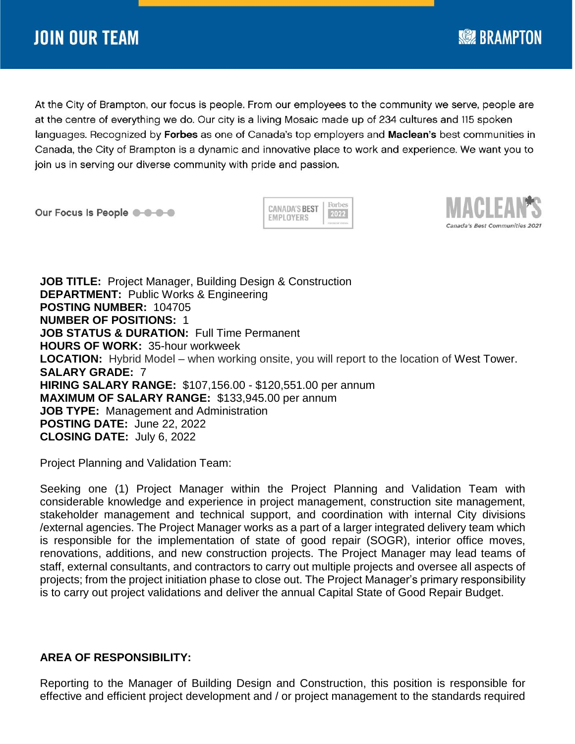At the City of Brampton, our focus is people. From our employees to the community we serve, people are at the centre of everything we do. Our city is a living Mosaic made up of 234 cultures and 115 spoken languages. Recognized by Forbes as one of Canada's top employers and Maclean's best communities in Canada, the City of Brampton is a dynamic and innovative place to work and experience. We want you to join us in serving our diverse community with pride and passion.

Our Focus Is People @ -0-0-0

Forbes **CANADA'S BEST** 2022 **EMPLOYERS** 



**SEE BRAMPTON** 

**JOB TITLE:** Project Manager, Building Design & Construction **DEPARTMENT:** Public Works & Engineering **POSTING NUMBER:** 104705 **NUMBER OF POSITIONS:** 1 **JOB STATUS & DURATION:** Full Time Permanent **HOURS OF WORK:** 35-hour workweek **LOCATION:** Hybrid Model – when working onsite, you will report to the location of West Tower. **SALARY GRADE:** 7 **HIRING SALARY RANGE:** \$107,156.00 - \$120,551.00 per annum **MAXIMUM OF SALARY RANGE:** \$133,945.00 per annum **JOB TYPE:** Management and Administration **POSTING DATE:** June 22, 2022 **CLOSING DATE:** July 6, 2022

Project Planning and Validation Team:

Seeking one (1) Project Manager within the Project Planning and Validation Team with considerable knowledge and experience in project management, construction site management, stakeholder management and technical support, and coordination with internal City divisions /external agencies. The Project Manager works as a part of a larger integrated delivery team which is responsible for the implementation of state of good repair (SOGR), interior office moves, renovations, additions, and new construction projects. The Project Manager may lead teams of staff, external consultants, and contractors to carry out multiple projects and oversee all aspects of projects; from the project initiation phase to close out. The Project Manager's primary responsibility is to carry out project validations and deliver the annual Capital State of Good Repair Budget.

# **AREA OF RESPONSIBILITY:**

Reporting to the Manager of Building Design and Construction, this position is responsible for effective and efficient project development and / or project management to the standards required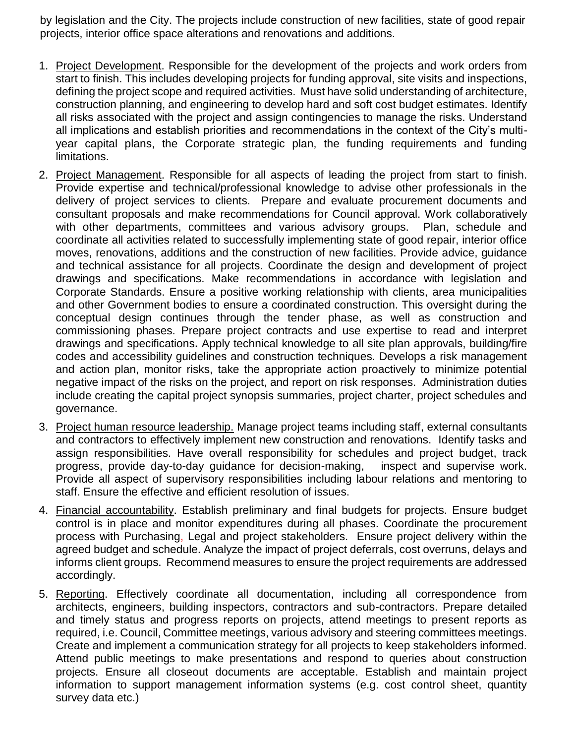by legislation and the City. The projects include construction of new facilities, state of good repair projects, interior office space alterations and renovations and additions.

- 1. Project Development. Responsible for the development of the projects and work orders from start to finish. This includes developing projects for funding approval, site visits and inspections, defining the project scope and required activities. Must have solid understanding of architecture, construction planning, and engineering to develop hard and soft cost budget estimates. Identify all risks associated with the project and assign contingencies to manage the risks. Understand all implications and establish priorities and recommendations in the context of the City's multiyear capital plans, the Corporate strategic plan, the funding requirements and funding limitations.
- 2. Project Management. Responsible for all aspects of leading the project from start to finish. Provide expertise and technical/professional knowledge to advise other professionals in the delivery of project services to clients. Prepare and evaluate procurement documents and consultant proposals and make recommendations for Council approval. Work collaboratively with other departments, committees and various advisory groups. Plan, schedule and coordinate all activities related to successfully implementing state of good repair, interior office moves, renovations, additions and the construction of new facilities. Provide advice, guidance and technical assistance for all projects. Coordinate the design and development of project drawings and specifications. Make recommendations in accordance with legislation and Corporate Standards. Ensure a positive working relationship with clients, area municipalities and other Government bodies to ensure a coordinated construction. This oversight during the conceptual design continues through the tender phase, as well as construction and commissioning phases. Prepare project contracts and use expertise to read and interpret drawings and specifications**.** Apply technical knowledge to all site plan approvals, building/fire codes and accessibility guidelines and construction techniques. Develops a risk management and action plan, monitor risks, take the appropriate action proactively to minimize potential negative impact of the risks on the project, and report on risk responses. Administration duties include creating the capital project synopsis summaries, project charter, project schedules and governance.
- 3. Project human resource leadership. Manage project teams including staff, external consultants and contractors to effectively implement new construction and renovations. Identify tasks and assign responsibilities. Have overall responsibility for schedules and project budget, track progress, provide day-to-day guidance for decision-making, inspect and supervise work. Provide all aspect of supervisory responsibilities including labour relations and mentoring to staff. Ensure the effective and efficient resolution of issues.
- 4. Financial accountability. Establish preliminary and final budgets for projects. Ensure budget control is in place and monitor expenditures during all phases. Coordinate the procurement process with Purchasing, Legal and project stakeholders. Ensure project delivery within the agreed budget and schedule. Analyze the impact of project deferrals, cost overruns, delays and informs client groups. Recommend measures to ensure the project requirements are addressed accordingly.
- 5. Reporting. Effectively coordinate all documentation, including all correspondence from architects, engineers, building inspectors, contractors and sub-contractors. Prepare detailed and timely status and progress reports on projects, attend meetings to present reports as required, i.e. Council, Committee meetings, various advisory and steering committees meetings. Create and implement a communication strategy for all projects to keep stakeholders informed. Attend public meetings to make presentations and respond to queries about construction projects. Ensure all closeout documents are acceptable. Establish and maintain project information to support management information systems (e.g. cost control sheet, quantity survey data etc.)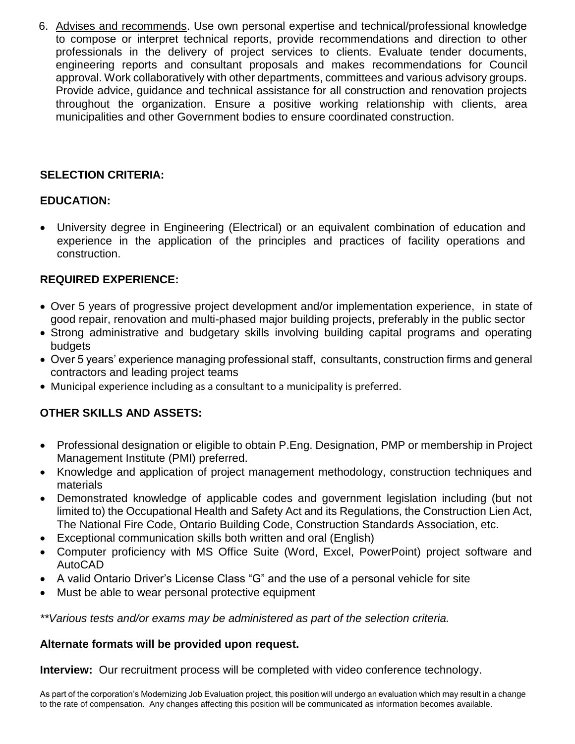6. Advises and recommends. Use own personal expertise and technical/professional knowledge to compose or interpret technical reports, provide recommendations and direction to other professionals in the delivery of project services to clients. Evaluate tender documents, engineering reports and consultant proposals and makes recommendations for Council approval. Work collaboratively with other departments, committees and various advisory groups. Provide advice, guidance and technical assistance for all construction and renovation projects throughout the organization. Ensure a positive working relationship with clients, area municipalities and other Government bodies to ensure coordinated construction.

## **SELECTION CRITERIA:**

### **EDUCATION:**

 University degree in Engineering (Electrical) or an equivalent combination of education and experience in the application of the principles and practices of facility operations and construction.

### **REQUIRED EXPERIENCE:**

- Over 5 years of progressive project development and/or implementation experience, in state of good repair, renovation and multi-phased major building projects, preferably in the public sector
- Strong administrative and budgetary skills involving building capital programs and operating budgets
- Over 5 years' experience managing professional staff, consultants, construction firms and general contractors and leading project teams
- Municipal experience including as a consultant to a municipality is preferred.

### **OTHER SKILLS AND ASSETS:**

- Professional designation or eligible to obtain P.Eng. Designation, PMP or membership in Project Management Institute (PMI) preferred.
- Knowledge and application of project management methodology, construction techniques and materials
- Demonstrated knowledge of applicable codes and government legislation including (but not limited to) the Occupational Health and Safety Act and its Regulations, the Construction Lien Act, The National Fire Code, Ontario Building Code, Construction Standards Association, etc.
- Exceptional communication skills both written and oral (English)
- Computer proficiency with MS Office Suite (Word, Excel, PowerPoint) project software and AutoCAD
- A valid Ontario Driver's License Class "G" and the use of a personal vehicle for site
- Must be able to wear personal protective equipment

*\*\*Various tests and/or exams may be administered as part of the selection criteria.*

#### **Alternate formats will be provided upon request.**

**Interview:** Our recruitment process will be completed with video conference technology.

As part of the corporation's Modernizing Job Evaluation project, this position will undergo an evaluation which may result in a change to the rate of compensation. Any changes affecting this position will be communicated as information becomes available.